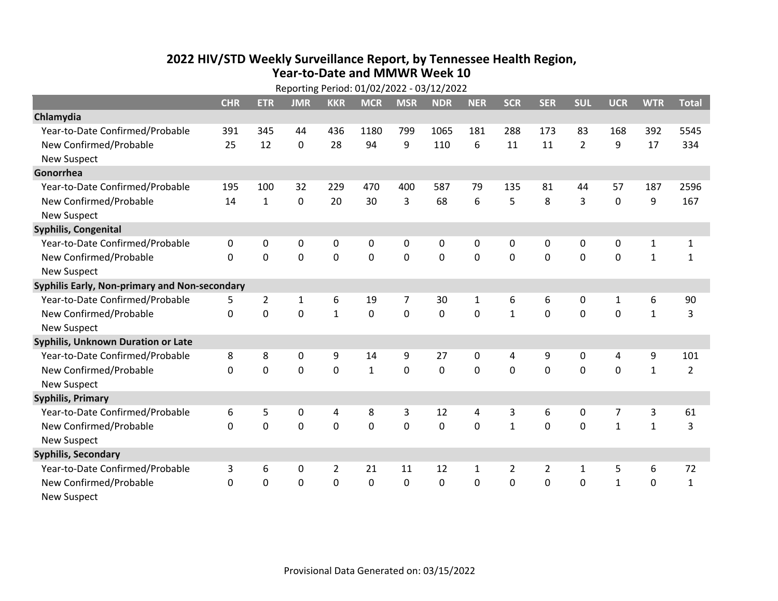## **2022 HIV /STD Weekly Surveillance Report, by Tennessee Health Region, Year‐to‐Date and MMWR Week 10** Reporting Period: 01/02/2022 ‐ 03/12/2022

| Reporting Period: 01/02/2022 - 03/12/2022     |            |                |              |                |              |                |            |              |              |                |                |              |              |                |
|-----------------------------------------------|------------|----------------|--------------|----------------|--------------|----------------|------------|--------------|--------------|----------------|----------------|--------------|--------------|----------------|
|                                               | <b>CHR</b> | <b>ETR</b>     | <b>JMR</b>   | <b>KKR</b>     | <b>MCR</b>   | <b>MSR</b>     | <b>NDR</b> | <b>NER</b>   | <b>SCR</b>   | <b>SER</b>     | <b>SUL</b>     | <b>UCR</b>   | <b>WTR</b>   | <b>Total</b>   |
| Chlamydia                                     |            |                |              |                |              |                |            |              |              |                |                |              |              |                |
| Year-to-Date Confirmed/Probable               | 391        | 345            | 44           | 436            | 1180         | 799            | 1065       | 181          | 288          | 173            | 83             | 168          | 392          | 5545           |
| New Confirmed/Probable                        | 25         | 12             | $\mathbf 0$  | 28             | 94           | 9              | 110        | 6            | 11           | 11             | $\overline{2}$ | 9            | 17           | 334            |
| <b>New Suspect</b>                            |            |                |              |                |              |                |            |              |              |                |                |              |              |                |
| Gonorrhea                                     |            |                |              |                |              |                |            |              |              |                |                |              |              |                |
| Year-to-Date Confirmed/Probable               | 195        | 100            | 32           | 229            | 470          | 400            | 587        | 79           | 135          | 81             | 44             | 57           | 187          | 2596           |
| New Confirmed/Probable                        | 14         | $\mathbf{1}$   | 0            | 20             | 30           | 3              | 68         | 6            | 5            | 8              | 3              | $\mathbf 0$  | 9            | 167            |
| <b>New Suspect</b>                            |            |                |              |                |              |                |            |              |              |                |                |              |              |                |
| <b>Syphilis, Congenital</b>                   |            |                |              |                |              |                |            |              |              |                |                |              |              |                |
| Year-to-Date Confirmed/Probable               | 0          | 0              | 0            | 0              | 0            | 0              | 0          | 0            | 0            | 0              | 0              | 0            | $\mathbf{1}$ | $\mathbf{1}$   |
| New Confirmed/Probable                        | $\Omega$   | 0              | 0            | 0              | 0            | $\mathbf 0$    | 0          | $\mathbf 0$  | 0            | $\mathbf 0$    | $\mathbf 0$    | $\mathbf 0$  | $\mathbf{1}$ | $\mathbf{1}$   |
| <b>New Suspect</b>                            |            |                |              |                |              |                |            |              |              |                |                |              |              |                |
| Syphilis Early, Non-primary and Non-secondary |            |                |              |                |              |                |            |              |              |                |                |              |              |                |
| Year-to-Date Confirmed/Probable               | 5          | $\overline{2}$ | $\mathbf{1}$ | 6              | 19           | $\overline{7}$ | 30         | $\mathbf{1}$ | 6            | 6              | 0              | $\mathbf{1}$ | 6            | 90             |
| New Confirmed/Probable                        | $\Omega$   | $\mathbf 0$    | $\Omega$     | $\mathbf{1}$   | $\mathbf 0$  | $\mathbf 0$    | $\Omega$   | $\Omega$     | $\mathbf{1}$ | $\mathbf{0}$   | $\Omega$       | $\Omega$     | $\mathbf{1}$ | 3              |
| <b>New Suspect</b>                            |            |                |              |                |              |                |            |              |              |                |                |              |              |                |
| Syphilis, Unknown Duration or Late            |            |                |              |                |              |                |            |              |              |                |                |              |              |                |
| Year-to-Date Confirmed/Probable               | 8          | 8              | 0            | 9              | 14           | 9              | 27         | $\mathbf{0}$ | 4            | 9              | $\mathbf{0}$   | 4            | 9            | 101            |
| New Confirmed/Probable                        | $\Omega$   | 0              | 0            | 0              | $\mathbf{1}$ | 0              | 0          | $\Omega$     | $\Omega$     | $\mathbf{0}$   | $\Omega$       | 0            | $\mathbf{1}$ | $\overline{2}$ |
| <b>New Suspect</b>                            |            |                |              |                |              |                |            |              |              |                |                |              |              |                |
| <b>Syphilis, Primary</b>                      |            |                |              |                |              |                |            |              |              |                |                |              |              |                |
| Year-to-Date Confirmed/Probable               | 6          | 5              | 0            | 4              | 8            | 3              | 12         | 4            | 3            | 6              | 0              | 7            | 3            | 61             |
| New Confirmed/Probable                        | 0          | 0              | 0            | 0              | $\mathbf 0$  | $\mathbf 0$    | 0          | $\Omega$     | $\mathbf{1}$ | $\mathbf 0$    | 0              | $\mathbf{1}$ | $\mathbf{1}$ | 3              |
| <b>New Suspect</b>                            |            |                |              |                |              |                |            |              |              |                |                |              |              |                |
| <b>Syphilis, Secondary</b>                    |            |                |              |                |              |                |            |              |              |                |                |              |              |                |
| Year-to-Date Confirmed/Probable               | 3          | 6              | 0            | $\overline{2}$ | 21           | 11             | 12         | $\mathbf{1}$ | 2            | $\overline{2}$ | 1              | 5            | 6            | 72             |
| New Confirmed/Probable                        | 0          | 0              | $\mathbf 0$  | 0              | $\mathbf 0$  | 0              | $\Omega$   | $\Omega$     | $\Omega$     | $\mathbf 0$    | $\mathbf 0$    | $\mathbf{1}$ | $\mathbf 0$  | $\mathbf{1}$   |
| New Suspect                                   |            |                |              |                |              |                |            |              |              |                |                |              |              |                |